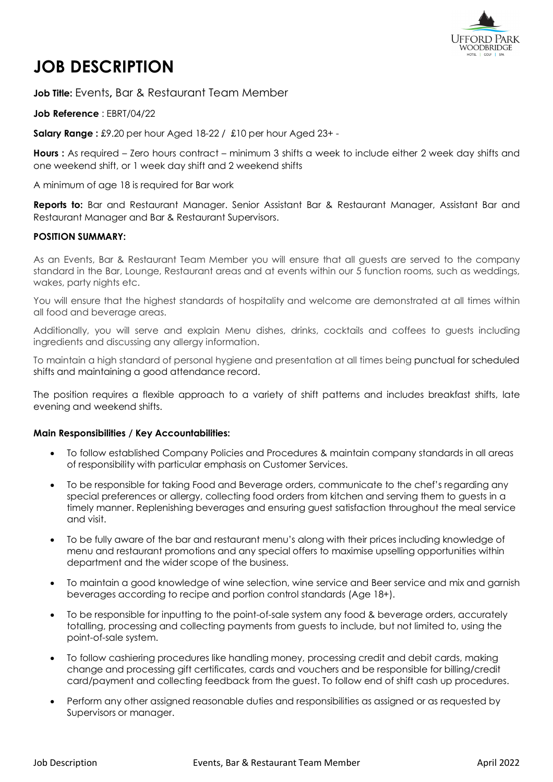

# **JOB DESCRIPTION**

**Job Title:** Events**,** Bar & Restaurant Team Member

**Job Reference** : EBRT/04/22

**Salary Range :** £9.20 per hour Aged 18-22 / £10 per hour Aged 23+ -

**Hours :** As required – Zero hours contract – minimum 3 shifts a week to include either 2 week day shifts and one weekend shift, or 1 week day shift and 2 weekend shifts

A minimum of age 18 is required for Bar work

**Reports to:** Bar and Restaurant Manager. Senior Assistant Bar & Restaurant Manager, Assistant Bar and Restaurant Manager and Bar & Restaurant Supervisors.

### **POSITION SUMMARY:**

As an Events, Bar & Restaurant Team Member you will ensure that all guests are served to the company standard in the Bar, Lounge, Restaurant areas and at events within our 5 function rooms, such as weddings, wakes, party nights etc.

You will ensure that the highest standards of hospitality and welcome are demonstrated at all times within all food and beverage areas.

Additionally, you will serve and explain Menu dishes, drinks, cocktails and coffees to guests including ingredients and discussing any allergy information.

To maintain a high standard of personal hygiene and presentation at all times being punctual for scheduled shifts and maintaining a good attendance record.

The position requires a flexible approach to a variety of shift patterns and includes breakfast shifts, late evening and weekend shifts.

#### **Main Responsibilities / Key Accountabilities:**

- To follow established Company Policies and Procedures & maintain company standards in all areas of responsibility with particular emphasis on Customer Services.
- To be responsible for taking Food and Beverage orders, communicate to the chef's regarding any special preferences or allergy, collecting food orders from kitchen and serving them to guests in a timely manner. Replenishing beverages and ensuring guest satisfaction throughout the meal service and visit.
- To be fully aware of the bar and restaurant menu's along with their prices including knowledge of menu and restaurant promotions and any special offers to maximise upselling opportunities within department and the wider scope of the business.
- To maintain a good knowledge of wine selection, wine service and Beer service and mix and garnish beverages according to recipe and portion control standards (Age 18+).
- To be responsible for inputting to the point-of-sale system any food & beverage orders, accurately totalling, processing and collecting payments from guests to include, but not limited to, using the point-of-sale system.
- To follow cashiering procedures like handling money, processing credit and debit cards, making change and processing gift certificates, cards and vouchers and be responsible for billing/credit card/payment and collecting feedback from the guest. To follow end of shift cash up procedures.
- Perform any other assigned reasonable duties and responsibilities as assigned or as requested by Supervisors or manager.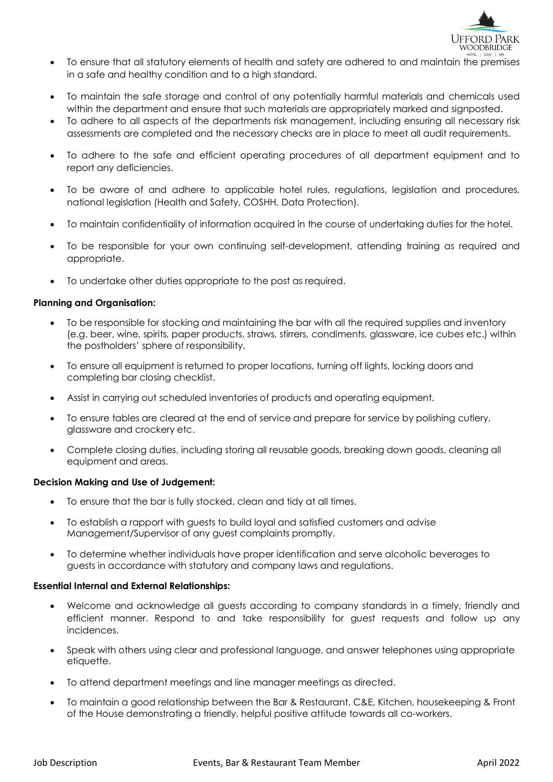

- To ensure that all statutory elements of health and safety are adhered to and maintain the premises in a safe and healthy condition and to a high standard.
- To maintain the safe storage and control of any potentially harmful materials and chemicals used within the department and ensure that such materials are appropriately marked and signposted.
- To adhere to all aspects of the departments risk management, including ensuring all necessary risk assessments are completed and the necessary checks are in place to meet all audit requirements.
- To adhere to the safe and efficient operating procedures of all department equipment and to report any deficiencies.
- To be aware of and adhere to applicable hotel rules, regulations, legislation and procedures, national legislation (Health and Safety, COSHH, Data Protection).
- To maintain confidentiality of information acquired in the course of undertaking duties for the hotel.
- To be responsible for your own continuing self-development, attending training as required and appropriate.
- To undertake other duties appropriate to the post as required.

### **Planning and Organisation:**

- To be responsible for stocking and maintaining the bar with all the required supplies and inventory (e.g. beer, wine, spirits, paper products, straws, stirrers, condiments, glassware, ice cubes etc.) within the postholders' sphere of responsibility.
- To ensure all equipment is returned to proper locations, turning off lights, locking doors and completing bar closing checklist.
- Assist in carrying out scheduled inventories of products and operating equipment.
- To ensure tables are cleared at the end of service and prepare for service by polishing cutlery, glassware and crockery etc.
- Complete closing duties, including storing all reusable goods, breaking down goods, cleaning all equipment and areas.

#### **Decision Making and Use of Judgement:**

- To ensure that the bar is fully stocked, clean and tidy at all times.
- To establish a rapport with guests to build loyal and satisfied customers and advise Management/Supervisor of any guest complaints promptly.
- To determine whether individuals have proper identification and serve alcoholic beverages to guests in accordance with statutory and company laws and regulations.

## **Essential Internal and External Relationships:**

- Welcome and acknowledge all guests according to company standards in a timely, friendly and efficient manner. Respond to and take responsibility for guest requests and follow up any incidences.
- Speak with others using clear and professional language, and answer telephones using appropriate etiquette.
- To attend department meetings and line manager meetings as directed.
- To maintain a good relationship between the Bar & Restaurant, C&E, Kitchen, housekeeping & Front of the House demonstrating a friendly, helpful positive attitude towards all co-workers.